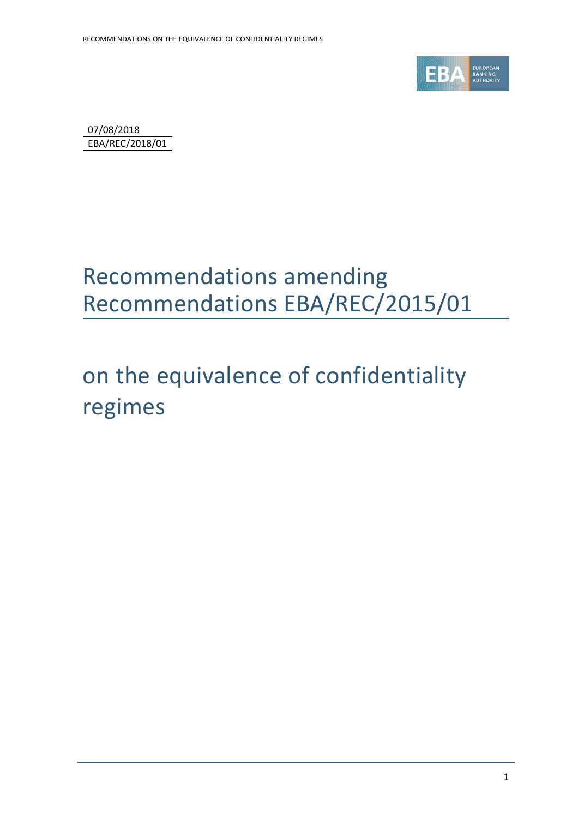

07/08/2018 EBA/REC/2018/01

### Recommendations amending Recommendations EBA/REC/2015/01

on the equivalence of confidentiality regimes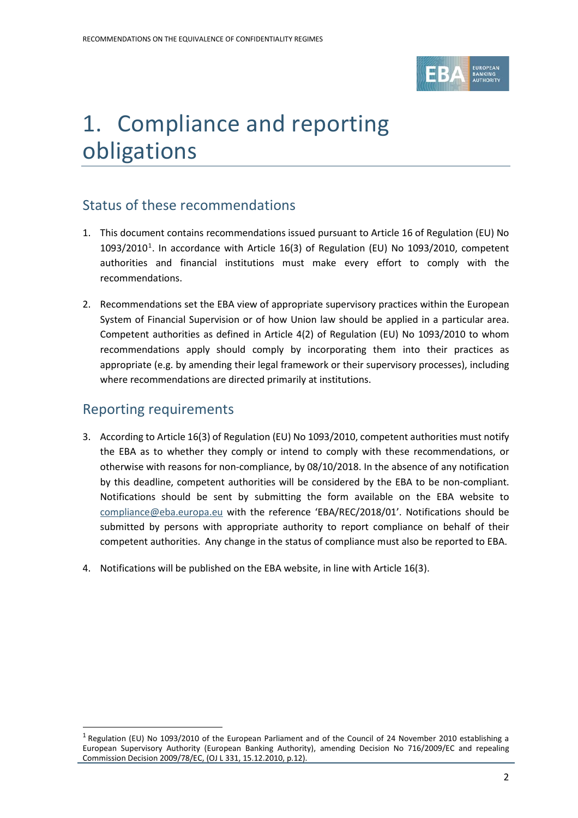

# 1. Compliance and reporting obligations

#### Status of these recommendations

- 1. This document contains recommendations issued pursuant to Article 16 of Regulation (EU) No  $1093/2010<sup>1</sup>$  $1093/2010<sup>1</sup>$ . In accordance with Article 16(3) of Regulation (EU) No 1093/2010, competent authorities and financial institutions must make every effort to comply with the recommendations.
- 2. Recommendations set the EBA view of appropriate supervisory practices within the European System of Financial Supervision or of how Union law should be applied in a particular area. Competent authorities as defined in Article 4(2) of Regulation (EU) No 1093/2010 to whom recommendations apply should comply by incorporating them into their practices as appropriate (e.g. by amending their legal framework or their supervisory processes), including where recommendations are directed primarily at institutions.

#### Reporting requirements

 $\overline{a}$ 

- 3. According to Article 16(3) of Regulation (EU) No 1093/2010, competent authorities must notify the EBA as to whether they comply or intend to comply with these recommendations, or otherwise with reasons for non-compliance, by 08/10/2018. In the absence of any notification by this deadline, competent authorities will be considered by the EBA to be non-compliant. Notifications should be sent by submitting the form available on the EBA website to [compliance@eba.europa.eu](mailto:compliance@eba.europa.eu) with the reference 'EBA/REC/2018/01'. Notifications should be submitted by persons with appropriate authority to report compliance on behalf of their competent authorities. Any change in the status of compliance must also be reported to EBA.
- 4. Notifications will be published on the EBA website, in line with Article 16(3).

<span id="page-1-0"></span><sup>1</sup> Regulation (EU) No 1093/2010 of the European Parliament and of the Council of 24 November 2010 establishing a European Supervisory Authority (European Banking Authority), amending Decision No 716/2009/EC and repealing Commission Decision 2009/78/EC, (OJ L 331, 15.12.2010, p.12).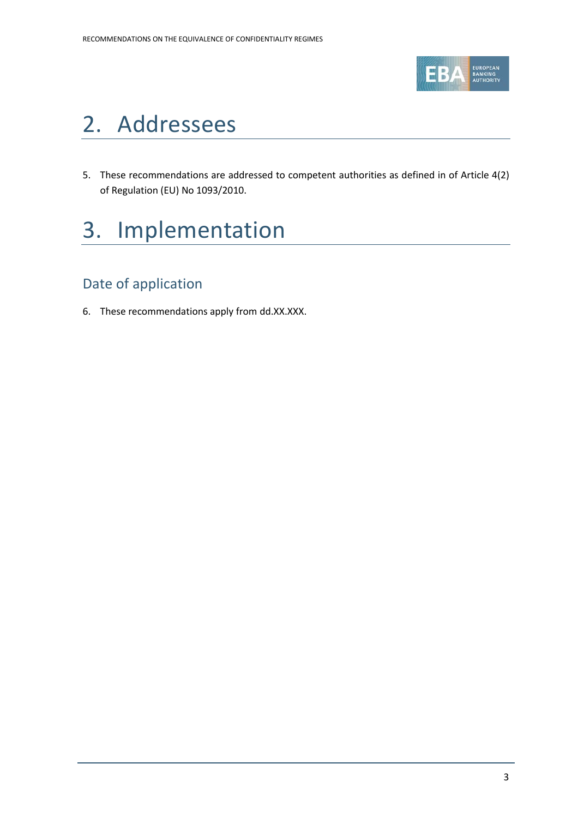

### 2. Addressees

5. These recommendations are addressed to competent authorities as defined in of Article 4(2) of Regulation (EU) No 1093/2010.

# 3. Implementation

#### Date of application

6. These recommendations apply from dd.XX.XXX.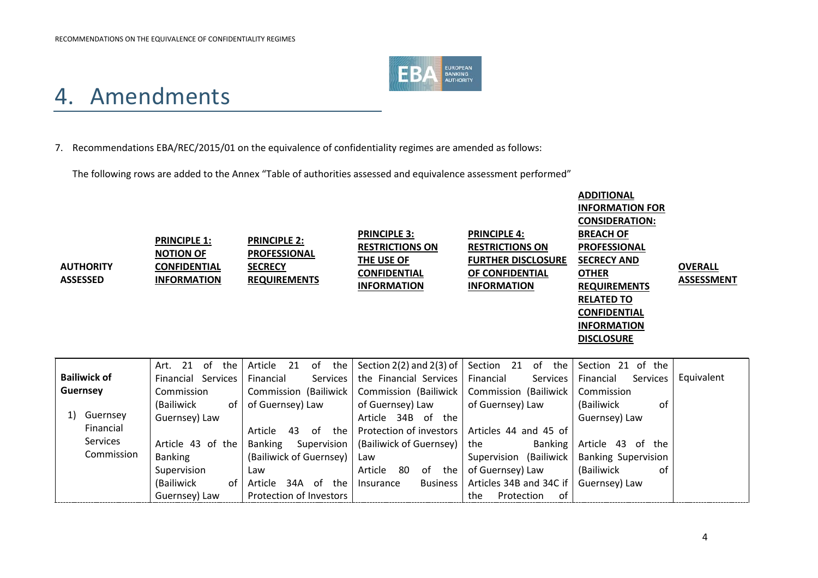

### 4. Amendments

#### 7. Recommendations EBA/REC/2015/01 on the equivalence of confidentiality regimes are amended as follows:

The following rows are added to the Annex "Table of authorities assessed and equivalence assessment performed"

| <b>AUTHORITY</b><br><b>ASSESSED</b> | <b>PRINCIPLE 1:</b><br><b>NOTION OF</b><br><b>CONFIDENTIAL</b><br><b>INFORMATION</b> | <b>PRINCIPLE 2:</b><br><b>PROFESSIONAL</b><br><b>SECRECY</b><br><b>REQUIREMENTS</b> | <b>PRINCIPLE 3:</b><br><b>RESTRICTIONS ON</b><br>THE USE OF<br><b>CONFIDENTIAL</b><br><b>INFORMATION</b> | <b>PRINCIPLE 4:</b><br><b>RESTRICTIONS ON</b><br><b>FURTHER DISCLOSURE</b><br>OF CONFIDENTIAL<br><b>INFORMATION</b> | <b>ADDITIONAL</b><br><b>INFORMATION FOR</b><br><b>CONSIDERATION:</b><br><b>BREACH OF</b><br><b>PROFESSIONAL</b><br><b>SECRECY AND</b><br><b>OTHER</b><br><b>REQUIREMENTS</b><br><b>RELATED TO</b><br><b>CONFIDENTIAL</b><br><b>INFORMATION</b><br><b>DISCLOSURE</b> | <b>OVERALL</b><br><b>ASSESSMENT</b> |
|-------------------------------------|--------------------------------------------------------------------------------------|-------------------------------------------------------------------------------------|----------------------------------------------------------------------------------------------------------|---------------------------------------------------------------------------------------------------------------------|---------------------------------------------------------------------------------------------------------------------------------------------------------------------------------------------------------------------------------------------------------------------|-------------------------------------|
| <b>Bailiwick of</b>                 | 21<br>of<br>the<br>Art.<br>Financial Services                                        | 21<br>of<br>the<br>Article<br>Services<br>Financial                                 | Section $2(2)$ and $2(3)$ of<br>the Financial Services                                                   | 21<br>Section<br>of<br>the<br>Services<br>Financial                                                                 | Section 21 of the<br>Services<br>Financial                                                                                                                                                                                                                          | Equivalent                          |
| <b>Guernsey</b>                     | Commission                                                                           | Commission (Bailiwick                                                               | Commission (Bailiwick                                                                                    | Commission (Bailiwick                                                                                               | Commission                                                                                                                                                                                                                                                          |                                     |
|                                     | (Bailiwick<br>of                                                                     | of Guernsey) Law                                                                    | of Guernsey) Law                                                                                         | of Guernsey) Law                                                                                                    | (Bailiwick<br>0f                                                                                                                                                                                                                                                    |                                     |
| Guernsey<br>1)                      | Guernsey) Law                                                                        |                                                                                     | Article 34B of the                                                                                       |                                                                                                                     | Guernsey) Law                                                                                                                                                                                                                                                       |                                     |
| Financial<br><b>Services</b>        |                                                                                      | of<br>43<br>the<br>Article                                                          | Protection of investors                                                                                  | Articles 44 and 45 of                                                                                               |                                                                                                                                                                                                                                                                     |                                     |
| Commission                          | Article 43 of the                                                                    | <b>Banking</b><br>Supervision                                                       | (Bailiwick of Guernsey)                                                                                  | the<br>Banking                                                                                                      | Article 43 of the                                                                                                                                                                                                                                                   |                                     |
|                                     | <b>Banking</b>                                                                       | (Bailiwick of Guernsey)                                                             | Law                                                                                                      | Supervision (Bailiwick                                                                                              | <b>Banking Supervision</b>                                                                                                                                                                                                                                          |                                     |
|                                     | Supervision                                                                          | Law                                                                                 | 80<br>of the<br>Article                                                                                  | of Guernsey) Law                                                                                                    | (Bailiwick<br>0f                                                                                                                                                                                                                                                    |                                     |
|                                     | (Bailiwick<br>of                                                                     | Article<br>34A of the                                                               | <b>Business</b><br>Insurance                                                                             | Articles 34B and 34C if                                                                                             | Guernsey) Law                                                                                                                                                                                                                                                       |                                     |
|                                     | Guernsey) Law                                                                        | Protection of Investors                                                             |                                                                                                          | of<br>Protection<br>the                                                                                             |                                                                                                                                                                                                                                                                     |                                     |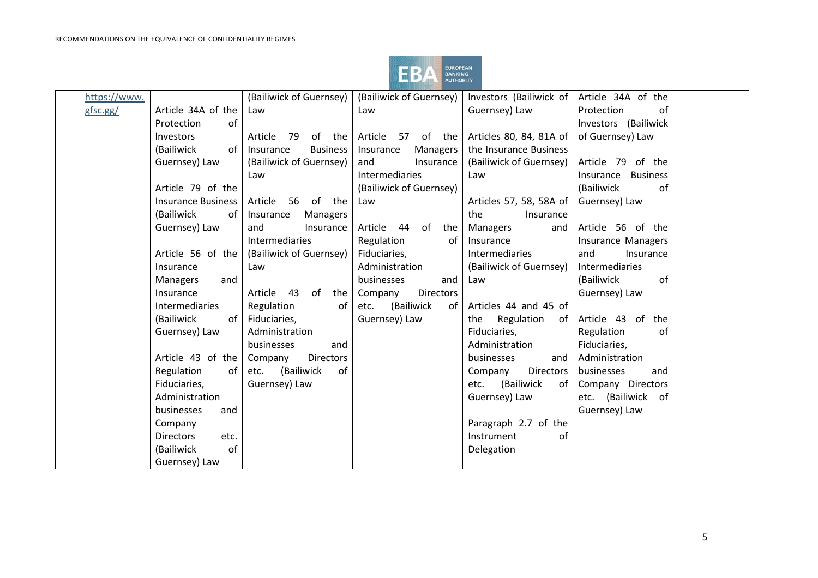

| https://www. |                           | (Bailiwick of Guernsey)      | (Bailiwick of Guernsey)     | Investors (Bailiwick of     | Article 34A of the           |  |
|--------------|---------------------------|------------------------------|-----------------------------|-----------------------------|------------------------------|--|
| gfsc.gg/     | Article 34A of the        | Law                          | Law                         | Guernsey) Law               | Protection<br>of             |  |
|              | Protection<br>of          |                              |                             |                             | Investors (Bailiwick         |  |
|              | Investors                 | 79<br>of the<br>Article      | Article 57 of the           | Articles 80, 84, 81A of     | of Guernsey) Law             |  |
|              | (Bailiwick<br>of          | Insurance<br><b>Business</b> | Insurance<br>Managers       | the Insurance Business      |                              |  |
|              | Guernsey) Law             | (Bailiwick of Guernsey)      | Insurance<br>and            | (Bailiwick of Guernsey)     | Article 79 of the            |  |
|              |                           | Law                          | Intermediaries              | Law                         | <b>Business</b><br>Insurance |  |
|              | Article 79 of the         |                              | (Bailiwick of Guernsey)     |                             | (Bailiwick<br>of             |  |
|              | <b>Insurance Business</b> | 56 of the<br>Article         | Law                         | Articles 57, 58, 58A of     | Guernsey) Law                |  |
|              | (Bailiwick<br>of          | Insurance<br>Managers        |                             | the<br>Insurance            |                              |  |
|              | Guernsey) Law             | and<br>Insurance             | Article 44<br>of<br>the     | <b>Managers</b><br>and      | Article 56 of the            |  |
|              |                           | Intermediaries               | Regulation<br>of            | Insurance                   | Insurance Managers           |  |
|              | Article 56 of the         | (Bailiwick of Guernsey)      | Fiduciaries,                | Intermediaries              | and<br>Insurance             |  |
|              | Insurance                 | Law                          | Administration              | (Bailiwick of Guernsey)     | Intermediaries               |  |
|              | Managers<br>and           |                              | businesses<br>and           | Law                         | of<br>(Bailiwick             |  |
|              | Insurance                 | Article 43<br>of<br>the      | <b>Directors</b><br>Company |                             | Guernsey) Law                |  |
|              | Intermediaries            | Regulation<br>0f             | (Bailiwick<br>etc.<br>of    | Articles 44 and 45 of       |                              |  |
|              | (Bailiwick<br>of          | Fiduciaries,                 | Guernsey) Law               | Regulation<br>the<br>of     | Article 43 of<br>the         |  |
|              | Guernsey) Law             | Administration               |                             | Fiduciaries,                | Regulation<br>of             |  |
|              |                           | businesses<br>and            |                             | Administration              | Fiduciaries,                 |  |
|              | Article 43 of the         | Company<br><b>Directors</b>  |                             | businesses<br>and           | Administration               |  |
|              | Regulation<br>of          | (Bailiwick<br>of<br>etc.     |                             | <b>Directors</b><br>Company | businesses<br>and            |  |
|              | Fiduciaries,              | Guernsey) Law                |                             | (Bailiwick<br>of<br>etc.    | Company Directors            |  |
|              | Administration            |                              |                             | Guernsey) Law               | etc. (Bailiwick<br>of        |  |
|              | businesses<br>and         |                              |                             |                             | Guernsey) Law                |  |
|              | Company                   |                              |                             | Paragraph 2.7 of the        |                              |  |
|              | <b>Directors</b><br>etc.  |                              |                             | Instrument<br>of            |                              |  |
|              | of<br>(Bailiwick          |                              |                             | Delegation                  |                              |  |
|              | Guernsey) Law             |                              |                             |                             |                              |  |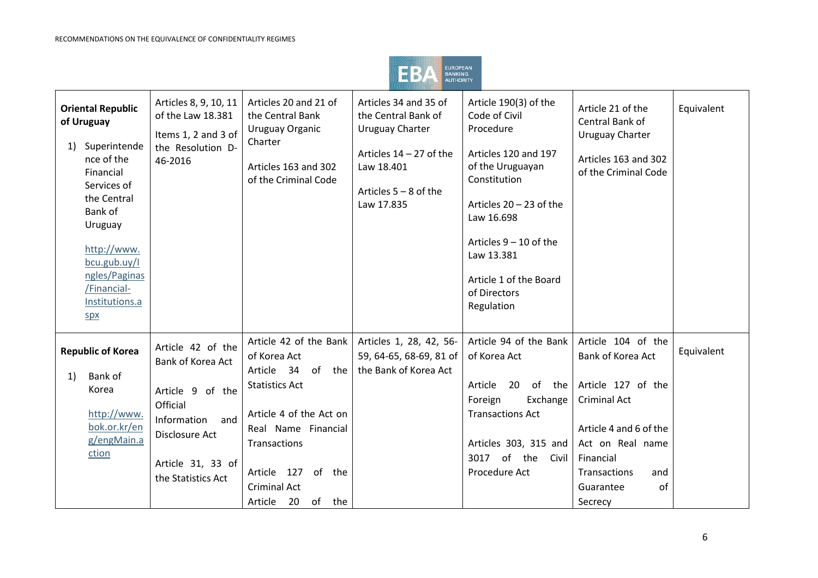

| <b>Oriental Republic</b><br>of Uruguay<br>Superintende<br>1)<br>nce of the<br>Financial<br>Services of<br>the Central<br>Bank of<br>Uruguay<br>http://www.<br>bcu.gub.uy/l<br>ngles/Paginas<br>/Financial-<br>Institutions.a<br>SDX | Articles 8, 9, 10, 11<br>of the Law 18.381<br>Items 1, 2 and 3 of<br>the Resolution D-<br>46-2016                                                         | Articles 20 and 21 of<br>the Central Bank<br>Uruguay Organic<br>Charter<br>Articles 163 and 302<br>of the Criminal Code                                                                                                           | Articles 34 and 35 of<br>the Central Bank of<br><b>Uruguay Charter</b><br>Articles $14 - 27$ of the<br>Law 18.401<br>Articles $5 - 8$ of the<br>Law 17.835 | Article 190(3) of the<br>Code of Civil<br>Procedure<br>Articles 120 and 197<br>of the Uruguayan<br>Constitution<br>Articles $20 - 23$ of the<br>Law 16.698<br>Articles $9 - 10$ of the<br>Law 13.381<br>Article 1 of the Board<br>of Directors<br>Regulation | Article 21 of the<br>Central Bank of<br><b>Uruguay Charter</b><br>Articles 163 and 302<br>of the Criminal Code                                                                                              | Equivalent |
|-------------------------------------------------------------------------------------------------------------------------------------------------------------------------------------------------------------------------------------|-----------------------------------------------------------------------------------------------------------------------------------------------------------|-----------------------------------------------------------------------------------------------------------------------------------------------------------------------------------------------------------------------------------|------------------------------------------------------------------------------------------------------------------------------------------------------------|--------------------------------------------------------------------------------------------------------------------------------------------------------------------------------------------------------------------------------------------------------------|-------------------------------------------------------------------------------------------------------------------------------------------------------------------------------------------------------------|------------|
| <b>Republic of Korea</b><br>Bank of<br>1)<br>Korea<br>http://www.<br>bok.or.kr/en<br>g/engMain.a<br>ction                                                                                                                           | Article 42 of the<br>Bank of Korea Act<br>Article 9 of the<br>Official<br>and<br>Information<br>Disclosure Act<br>Article 31, 33 of<br>the Statistics Act | Article 42 of the Bank<br>of Korea Act<br>Article 34<br>of the<br><b>Statistics Act</b><br>Article 4 of the Act on<br>Real Name Financial<br>Transactions<br>Article 127<br>of the<br><b>Criminal Act</b><br>Article<br>20 of the | Articles 1, 28, 42, 56-<br>59, 64-65, 68-69, 81 of<br>the Bank of Korea Act                                                                                | Article 94 of the Bank<br>of Korea Act<br>Article<br>20<br>Foreign<br>Exchange<br><b>Transactions Act</b><br>Articles 303, 315 and<br>of the Civil<br>3017<br>Procedure Act                                                                                  | Article 104 of the<br>Bank of Korea Act<br>of the Article 127 of the<br><b>Criminal Act</b><br>Article 4 and 6 of the<br>Act on Real name<br>Financial<br>Transactions<br>and<br>of<br>Guarantee<br>Secrecy | Equivalent |